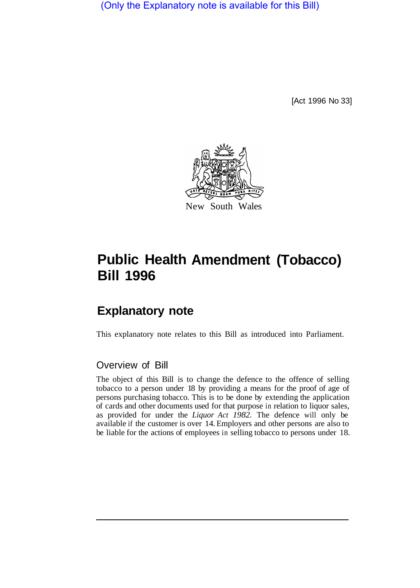(Only the Explanatory note is available for this Bill)

[Act 1996 No 33]



# **Public Health Amendment (Tobacco) Bill 1996**

## **Explanatory note**

This explanatory note relates to this Bill as introduced into Parliament.

#### Overview of Bill

The object of this Bill is to change the defence to the offence of selling tobacco to a person under 18 by providing a means for the proof of age of persons purchasing tobacco. This is to be done by extending the application of cards and other documents used for that purpose in relation to liquor sales, as provided for under the *Liquor Act 1982.* The defence will only be available if the customer is over 14. Employers and other persons are also to be liable for the actions of employees in selling tobacco to persons under 18.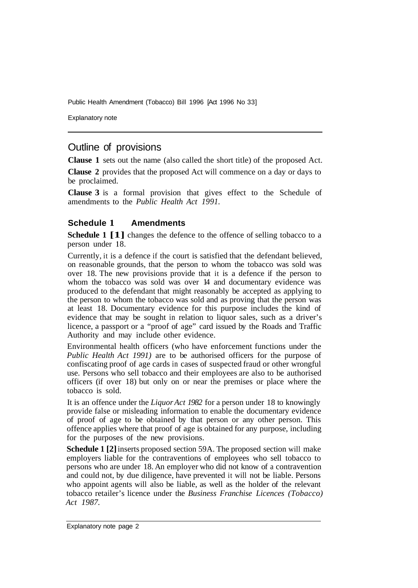Public Health Amendment (Tobacco) Bill 1996 [Act 1996 No 33]

Explanatory note

### Outline of provisions

**Clause 1** sets out the name (also called the short title) of the proposed Act.

**Clause 2** provides that the proposed Act will commence on a day or days to be proclaimed.

**Clause 3** is a formal provision that gives effect to the Schedule of amendments to the *Public Health Act 1991.* 

#### **Schedule 1 Amendments**

**Schedule 1 [1]** changes the defence to the offence of selling tobacco to a person under 18.

Currently, it is a defence if the court is satisfied that the defendant believed, on reasonable grounds, that the person to whom the tobacco was sold was over 18. The new provisions provide that it is a defence if the person to whom the tobacco was sold was over 14 and documentary evidence was produced to the defendant that might reasonably be accepted as applying to the person to whom the tobacco was sold and as proving that the person was at least 18. Documentary evidence for this purpose includes the kind of evidence that may be sought in relation to liquor sales, such as a driver's licence, a passport or a "proof of age" card issued by the Roads and Traffic Authority and may include other evidence.

Environmental health officers (who have enforcement functions under the *Public Health Act 1991)* are to be authorised officers for the purpose of confiscating proof of age cards in cases of suspected fraud or other wrongful use. Persons who sell tobacco and their employees are also to be authorised officers (if over 18) but only on or near the premises or place where the tobacco is sold.

It is an offence under the *Liquor Act 1982* for a person under 18 to knowingly provide false or misleading information to enable the documentary evidence of proof of age to be obtained by that person or any other person. This offence applies where that proof of age is obtained for any purpose, including for the purposes of the new provisions.

**Schedule 1 [2]** inserts proposed section 59A. The proposed section will make employers liable for the contraventions of employees who sell tobacco to persons who are under 18. An employer who did not know of a contravention and could not, by due diligence, have prevented it will not be liable. Persons who appoint agents will also be liable, as well as the holder of the relevant tobacco retailer's licence under the *Business Franchise Licences (Tobacco) Act 1987.*